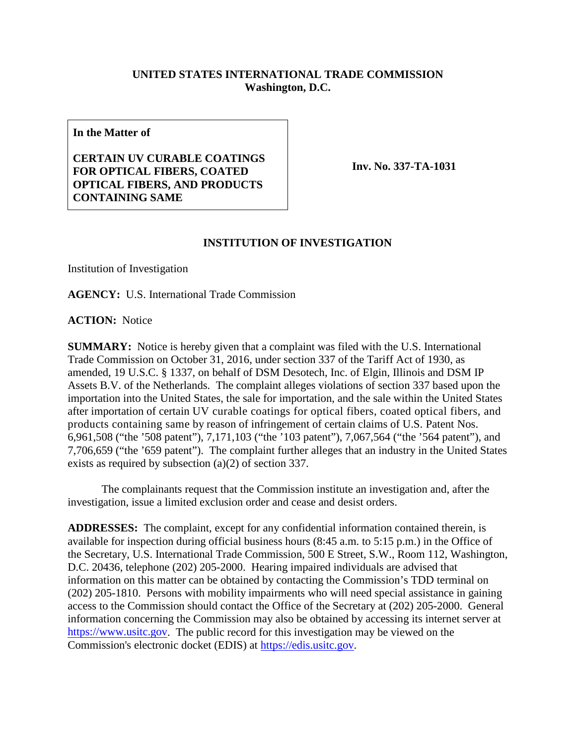## **UNITED STATES INTERNATIONAL TRADE COMMISSION Washington, D.C.**

**In the Matter of**

**CERTAIN UV CURABLE COATINGS FOR OPTICAL FIBERS, COATED OPTICAL FIBERS, AND PRODUCTS CONTAINING SAME**

**Inv. No. 337-TA-1031**

## **INSTITUTION OF INVESTIGATION**

Institution of Investigation

**AGENCY:** U.S. International Trade Commission

**ACTION:** Notice

**SUMMARY:** Notice is hereby given that a complaint was filed with the U.S. International Trade Commission on October 31, 2016, under section 337 of the Tariff Act of 1930, as amended, 19 U.S.C. § 1337, on behalf of DSM Desotech, Inc. of Elgin, Illinois and DSM IP Assets B.V. of the Netherlands. The complaint alleges violations of section 337 based upon the importation into the United States, the sale for importation, and the sale within the United States after importation of certain UV curable coatings for optical fibers, coated optical fibers, and products containing same by reason of infringement of certain claims of U.S. Patent Nos. 6,961,508 ("the '508 patent"), 7,171,103 ("the '103 patent"), 7,067,564 ("the '564 patent"), and 7,706,659 ("the '659 patent"). The complaint further alleges that an industry in the United States exists as required by subsection (a)(2) of section 337.

The complainants request that the Commission institute an investigation and, after the investigation, issue a limited exclusion order and cease and desist orders.

**ADDRESSES:** The complaint, except for any confidential information contained therein, is available for inspection during official business hours (8:45 a.m. to 5:15 p.m.) in the Office of the Secretary, U.S. International Trade Commission, 500 E Street, S.W., Room 112, Washington, D.C. 20436, telephone (202) 205-2000. Hearing impaired individuals are advised that information on this matter can be obtained by contacting the Commission's TDD terminal on (202) 205-1810. Persons with mobility impairments who will need special assistance in gaining access to the Commission should contact the Office of the Secretary at (202) 205-2000. General information concerning the Commission may also be obtained by accessing its internet server at [https://www.usitc.gov.](https://www.usitc.gov/) The public record for this investigation may be viewed on the Commission's electronic docket (EDIS) at [https://edis.usitc.gov.](https://edis.usitc.gov/)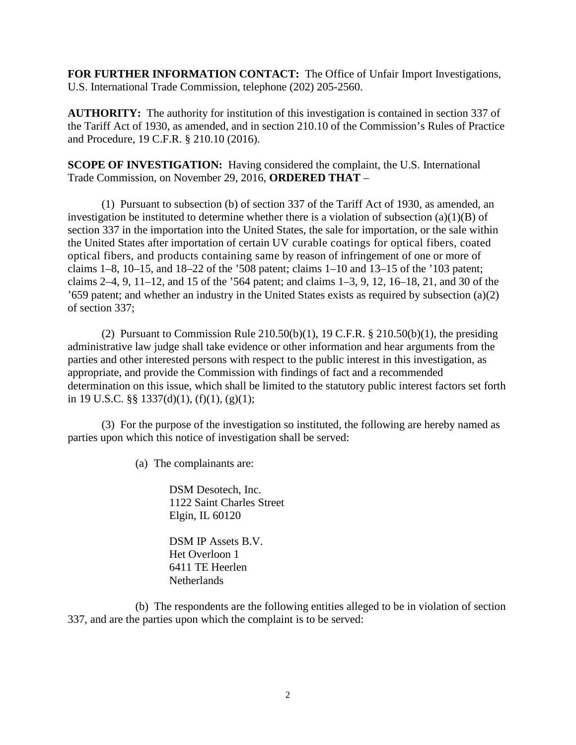**FOR FURTHER INFORMATION CONTACT:** The Office of Unfair Import Investigations, U.S. International Trade Commission, telephone (202) 205-2560.

**AUTHORITY:** The authority for institution of this investigation is contained in section 337 of the Tariff Act of 1930, as amended, and in section 210.10 of the Commission's Rules of Practice and Procedure, 19 C.F.R. § 210.10 (2016).

**SCOPE OF INVESTIGATION:** Having considered the complaint, the U.S. International Trade Commission, on November 29, 2016, **ORDERED THAT** –

(1) Pursuant to subsection (b) of section 337 of the Tariff Act of 1930, as amended, an investigation be instituted to determine whether there is a violation of subsection  $(a)(1)(B)$  of section 337 in the importation into the United States, the sale for importation, or the sale within the United States after importation of certain UV curable coatings for optical fibers, coated optical fibers, and products containing same by reason of infringement of one or more of claims 1–8, 10–15, and 18–22 of the '508 patent; claims 1–10 and 13–15 of the '103 patent; claims 2–4, 9, 11–12, and 15 of the '564 patent; and claims 1–3, 9, 12, 16–18, 21, and 30 of the '659 patent; and whether an industry in the United States exists as required by subsection (a)(2) of section 337;

(2) Pursuant to Commission Rule  $210.50(b)(1)$ , 19 C.F.R. §  $210.50(b)(1)$ , the presiding administrative law judge shall take evidence or other information and hear arguments from the parties and other interested persons with respect to the public interest in this investigation, as appropriate, and provide the Commission with findings of fact and a recommended determination on this issue, which shall be limited to the statutory public interest factors set forth in 19 U.S.C. §§ 1337(d)(1), (f)(1), (g)(1);

(3) For the purpose of the investigation so instituted, the following are hereby named as parties upon which this notice of investigation shall be served:

(a) The complainants are:

DSM Desotech, Inc. 1122 Saint Charles Street Elgin, IL 60120

DSM IP Assets B.V. Het Overloon 1 6411 TE Heerlen **Netherlands** 

(b) The respondents are the following entities alleged to be in violation of section 337, and are the parties upon which the complaint is to be served: